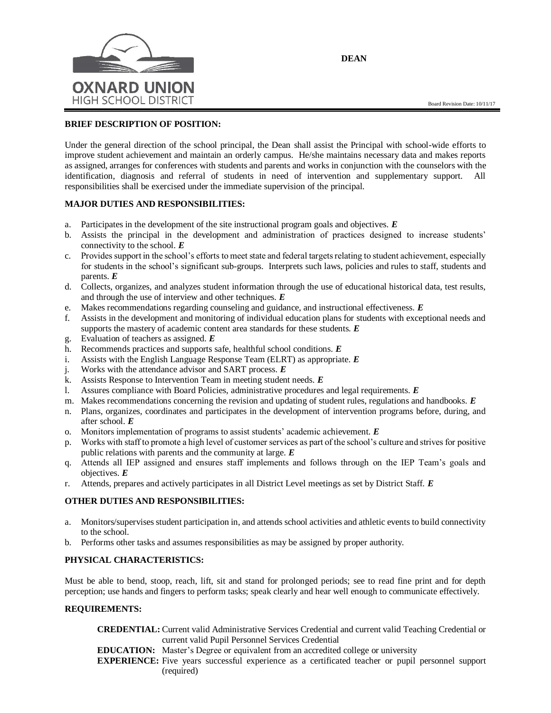

**DEAN**

### **BRIEF DESCRIPTION OF POSITION:**

Under the general direction of the school principal, the Dean shall assist the Principal with school-wide efforts to improve student achievement and maintain an orderly campus. He/she maintains necessary data and makes reports as assigned, arranges for conferences with students and parents and works in conjunction with the counselors with the identification, diagnosis and referral of students in need of intervention and supplementary support. All responsibilities shall be exercised under the immediate supervision of the principal.

### **MAJOR DUTIES AND RESPONSIBILITIES:**

- a. Participates in the development of the site instructional program goals and objectives. *E*
- b. Assists the principal in the development and administration of practices designed to increase students' connectivity to the school. *E*
- c. Provides support in the school's efforts to meet state and federal targets relating to student achievement, especially for students in the school's significant sub-groups. Interprets such laws, policies and rules to staff, students and parents. *E*
- d. Collects, organizes, and analyzes student information through the use of educational historical data, test results, and through the use of interview and other techniques. *E*
- e. Makes recommendations regarding counseling and guidance, and instructional effectiveness. *E*
- f. Assists in the development and monitoring of individual education plans for students with exceptional needs and supports the mastery of academic content area standards for these students. *E*
- g. Evaluation of teachers as assigned. *E*
- h. Recommends practices and supports safe, healthful school conditions. *E*
- i. Assists with the English Language Response Team (ELRT) as appropriate. *E*
- j. Works with the attendance advisor and SART process. *E*
- k. Assists Response to Intervention Team in meeting student needs. *E*
- l. Assures compliance with Board Policies, administrative procedures and legal requirements. *E*
- m. Makes recommendations concerning the revision and updating of student rules, regulations and handbooks. *E*
- n. Plans, organizes, coordinates and participates in the development of intervention programs before, during, and after school. *E*
- o. Monitors implementation of programs to assist students' academic achievement. *E*
- p. Works with staff to promote a high level of customer services as part of the school's culture and strives for positive public relations with parents and the community at large. *E*
- q. Attends all IEP assigned and ensures staff implements and follows through on the IEP Team's goals and objectives. *E*
- r. Attends, prepares and actively participates in all District Level meetings as set by District Staff. *E*

# **OTHER DUTIES AND RESPONSIBILITIES:**

- a. Monitors/supervises student participation in, and attends school activities and athletic events to build connectivity to the school.
- b. Performs other tasks and assumes responsibilities as may be assigned by proper authority.

# **PHYSICAL CHARACTERISTICS:**

Must be able to bend, stoop, reach, lift, sit and stand for prolonged periods; see to read fine print and for depth perception; use hands and fingers to perform tasks; speak clearly and hear well enough to communicate effectively.

#### **REQUIREMENTS:**

- **CREDENTIAL:** Current valid Administrative Services Credential and current valid Teaching Credential or current valid Pupil Personnel Services Credential
- **EDUCATION:** Master's Degree or equivalent from an accredited college or university
- **EXPERIENCE:** Five years successful experience as a certificated teacher or pupil personnel support (required)